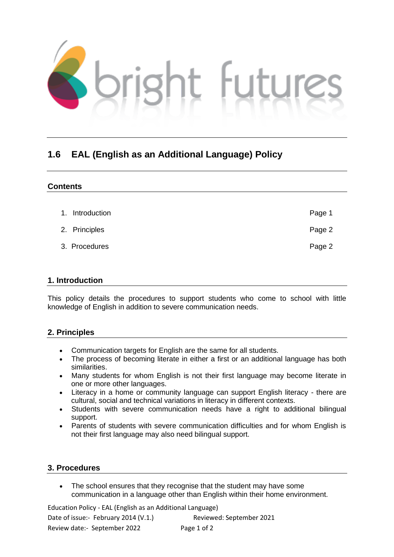

## **1.6 EAL (English as an Additional Language) Policy**

| <b>Contents</b>    |        |
|--------------------|--------|
|                    |        |
| Introduction<br>1. | Page 1 |
| 2. Principles      | Page 2 |
| 3. Procedures      | Page 2 |

## **1. Introduction**

This policy details the procedures to support students who come to school with little knowledge of English in addition to severe communication needs.

## **2. Principles**

- Communication targets for English are the same for all students.
- The process of becoming literate in either a first or an additional language has both similarities.
- Many students for whom English is not their first language may become literate in one or more other languages.
- Literacy in a home or community language can support English literacy there are cultural, social and technical variations in literacy in different contexts.
- Students with severe communication needs have a right to additional bilingual support.
- Parents of students with severe communication difficulties and for whom English is not their first language may also need bilingual support.

## **3. Procedures**

• The school ensures that they recognise that the student may have some communication in a language other than English within their home environment.

Education Policy - EAL (English as an Additional Language)

Date of issue:- February 2014 (V.1.) Reviewed: September 2021 Review date:- September 2022 Page 1 of 2